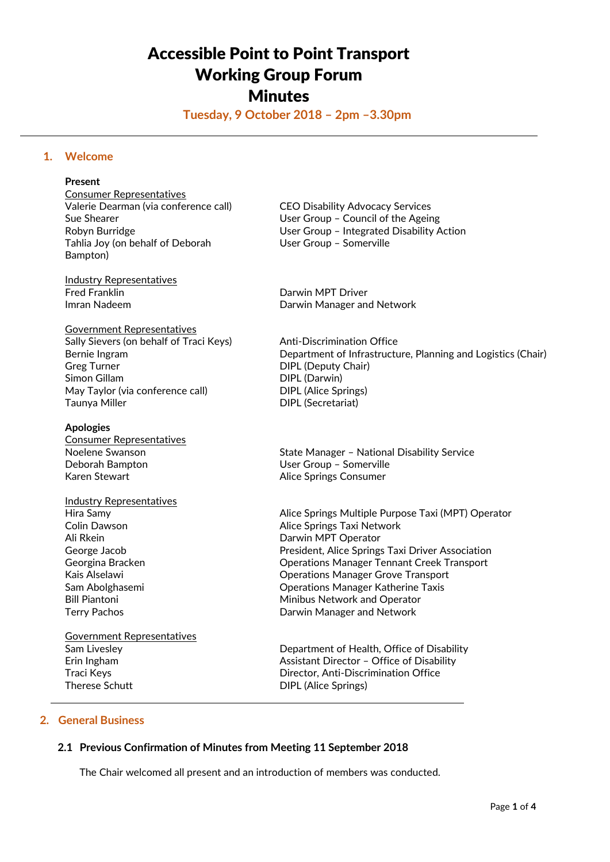# Accessible Point to Point Transport Working Group Forum **Minutes**

**Tuesday, 9 October 2018 – 2pm –3.30pm**

# **1. Welcome**

### **Present**

Consumer Representatives Valerie Dearman (via conference call) CEO Disability Advocacy Services Sue Shearer **In the Ageing** User Group – Council of the Ageing Tahlia Joy (on behalf of Deborah User Group - Somerville Bampton)

Industry Representatives Fred Franklin **Darwin MPT** Driver

Government Representatives Sally Sievers (on behalf of Traci Keys) Anti-Discrimination Office Greg Turner **DIPL** (Deputy Chair) Simon Gillam DIPL (Darwin) May Taylor (via conference call) DIPL (Alice Springs) Taunya Miller **DIPL** (Secretariat)

#### **Apologies**

Consumer Representatives Deborah Bampton User Group – Somerville Karen Stewart **Alice Springs Consumer** 

Industry Representatives Ali Rkein **Darwin MPT** Operator

Government Representatives Therese Schutt **DIPL** (Alice Springs)

Robyn Burridge User Group – Integrated Disability Action

Imran Nadeem **Darwin Manager and Network** 

Bernie Ingram **Department of Infrastructure, Planning and Logistics (Chair)** Department of Infrastructure, Planning and Logistics (Chair)

Noelene Swanson **State Manager – National Disability Service** Supervice

Hira Samy Alice Springs Multiple Purpose Taxi (MPT) Operator Colin Dawson **Alice Springs Taxi Network** George Jacob President, Alice Springs Taxi Driver Association Georgina Bracken Operations Manager Tennant Creek Transport Kais Alselawi Operations Manager Grove Transport Sam Abolghasemi Operations Manager Katherine Taxis Bill Piantoni **Minibus Network and Operator** Terry Pachos **Darwin Manager and Network** 

Sam Livesley Department of Health, Office of Disability Erin Ingham Assistant Director – Office of Disability Traci Keys Director, Anti-Discrimination Office

# **2. General Business**

# **2.1 Previous Confirmation of Minutes from Meeting 11 September 2018**

The Chair welcomed all present and an introduction of members was conducted.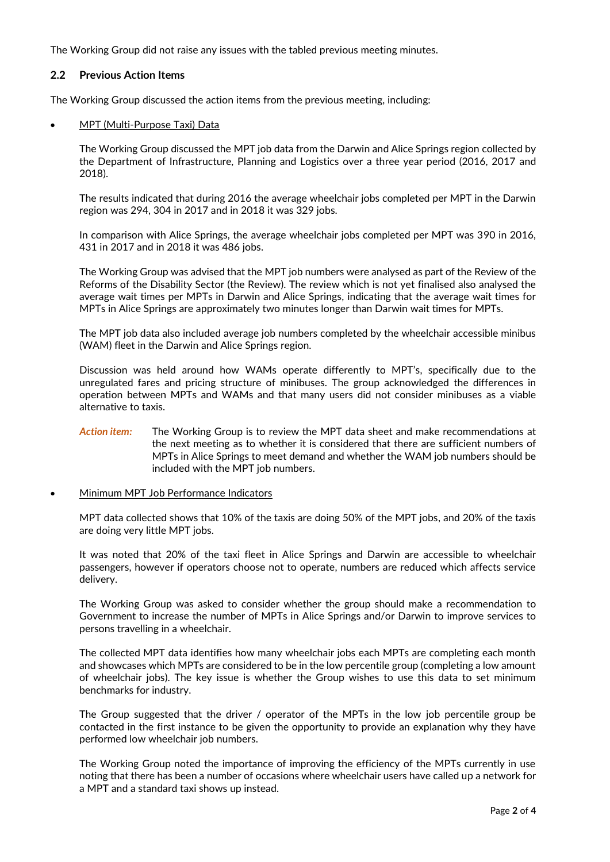The Working Group did not raise any issues with the tabled previous meeting minutes.

# **2.2 Previous Action Items**

The Working Group discussed the action items from the previous meeting, including:

## MPT (Multi-Purpose Taxi) Data

The Working Group discussed the MPT job data from the Darwin and Alice Springs region collected by the Department of Infrastructure, Planning and Logistics over a three year period (2016, 2017 and 2018).

The results indicated that during 2016 the average wheelchair jobs completed per MPT in the Darwin region was 294, 304 in 2017 and in 2018 it was 329 jobs.

In comparison with Alice Springs, the average wheelchair jobs completed per MPT was 390 in 2016, 431 in 2017 and in 2018 it was 486 jobs.

The Working Group was advised that the MPT job numbers were analysed as part of the Review of the Reforms of the Disability Sector (the Review). The review which is not yet finalised also analysed the average wait times per MPTs in Darwin and Alice Springs, indicating that the average wait times for MPTs in Alice Springs are approximately two minutes longer than Darwin wait times for MPTs.

The MPT job data also included average job numbers completed by the wheelchair accessible minibus (WAM) fleet in the Darwin and Alice Springs region.

Discussion was held around how WAMs operate differently to MPT's, specifically due to the unregulated fares and pricing structure of minibuses. The group acknowledged the differences in operation between MPTs and WAMs and that many users did not consider minibuses as a viable alternative to taxis.

# *Action item:* The Working Group is to review the MPT data sheet and make recommendations at the next meeting as to whether it is considered that there are sufficient numbers of MPTs in Alice Springs to meet demand and whether the WAM job numbers should be included with the MPT job numbers.

### Minimum MPT Job Performance Indicators

MPT data collected shows that 10% of the taxis are doing 50% of the MPT jobs, and 20% of the taxis are doing very little MPT jobs.

It was noted that 20% of the taxi fleet in Alice Springs and Darwin are accessible to wheelchair passengers, however if operators choose not to operate, numbers are reduced which affects service delivery.

The Working Group was asked to consider whether the group should make a recommendation to Government to increase the number of MPTs in Alice Springs and/or Darwin to improve services to persons travelling in a wheelchair.

The collected MPT data identifies how many wheelchair jobs each MPTs are completing each month and showcases which MPTs are considered to be in the low percentile group (completing a low amount of wheelchair jobs). The key issue is whether the Group wishes to use this data to set minimum benchmarks for industry.

The Group suggested that the driver / operator of the MPTs in the low job percentile group be contacted in the first instance to be given the opportunity to provide an explanation why they have performed low wheelchair job numbers.

The Working Group noted the importance of improving the efficiency of the MPTs currently in use noting that there has been a number of occasions where wheelchair users have called up a network for a MPT and a standard taxi shows up instead.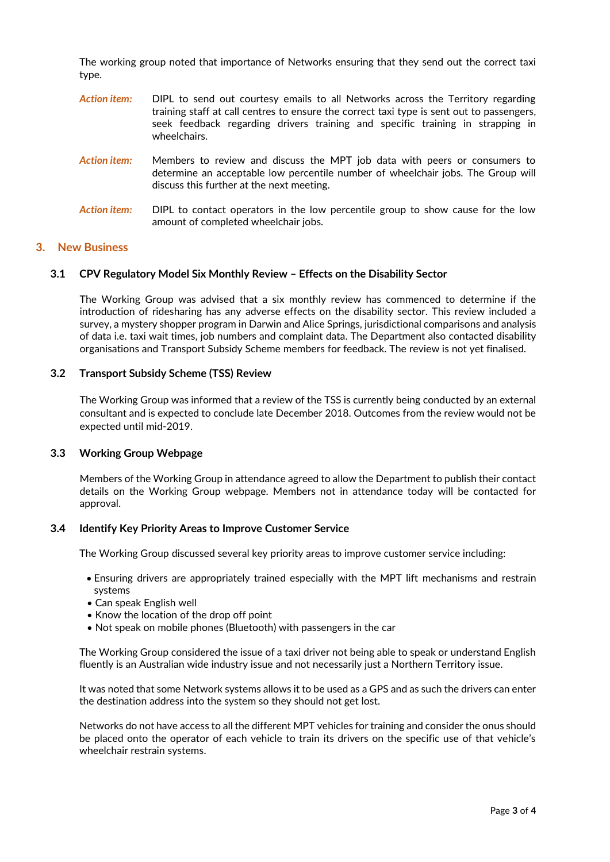The working group noted that importance of Networks ensuring that they send out the correct taxi type.

- *Action item:* DIPL to send out courtesy emails to all Networks across the Territory regarding training staff at call centres to ensure the correct taxi type is sent out to passengers, seek feedback regarding drivers training and specific training in strapping in wheelchairs.
- *Action item:* Members to review and discuss the MPT job data with peers or consumers to determine an acceptable low percentile number of wheelchair jobs. The Group will discuss this further at the next meeting.
- *Action item:* DIPL to contact operators in the low percentile group to show cause for the low amount of completed wheelchair jobs.

## **3. New Business**

### **3.1 CPV Regulatory Model Six Monthly Review – Effects on the Disability Sector**

The Working Group was advised that a six monthly review has commenced to determine if the introduction of ridesharing has any adverse effects on the disability sector. This review included a survey, a mystery shopper program in Darwin and Alice Springs, jurisdictional comparisons and analysis of data i.e. taxi wait times, job numbers and complaint data. The Department also contacted disability organisations and Transport Subsidy Scheme members for feedback. The review is not yet finalised.

# **3.2 Transport Subsidy Scheme (TSS) Review**

The Working Group was informed that a review of the TSS is currently being conducted by an external consultant and is expected to conclude late December 2018. Outcomes from the review would not be expected until mid-2019.

### **3.3 Working Group Webpage**

Members of the Working Group in attendance agreed to allow the Department to publish their contact details on the Working Group webpage. Members not in attendance today will be contacted for approval.

### **3.4 Identify Key Priority Areas to Improve Customer Service**

The Working Group discussed several key priority areas to improve customer service including:

- Ensuring drivers are appropriately trained especially with the MPT lift mechanisms and restrain systems
- Can speak English well
- Know the location of the drop off point
- Not speak on mobile phones (Bluetooth) with passengers in the car

The Working Group considered the issue of a taxi driver not being able to speak or understand English fluently is an Australian wide industry issue and not necessarily just a Northern Territory issue.

It was noted that some Network systems allows it to be used as a GPS and as such the drivers can enter the destination address into the system so they should not get lost.

Networks do not have access to all the different MPT vehicles for training and consider the onus should be placed onto the operator of each vehicle to train its drivers on the specific use of that vehicle's wheelchair restrain systems.